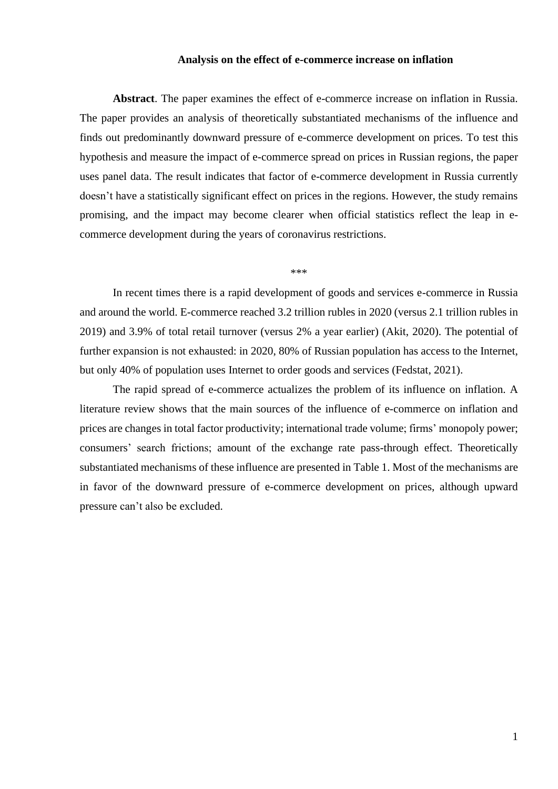## **Analysis on the effect of e-commerce increase on inflation**

**Abstract**. The paper examines the effect of e-commerce increase on inflation in Russia. The paper provides an analysis of theoretically substantiated mechanisms of the influence and finds out predominantly downward pressure of e-commerce development on prices. To test this hypothesis and measure the impact of e-commerce spread on prices in Russian regions, the paper uses panel data. The result indicates that factor of e-commerce development in Russia currently doesn't have a statistically significant effect on prices in the regions. However, the study remains promising, and the impact may become clearer when official statistics reflect the leap in ecommerce development during the years of coronavirus restrictions.

\*\*\*

In recent times there is a rapid development of goods and services e-commerce in Russia and around the world. E-commerce reached 3.2 trillion rubles in 2020 (versus 2.1 trillion rubles in 2019) and 3.9% of total retail turnover (versus 2% a year earlier) (Akit, 2020). The potential of further expansion is not exhausted: in 2020, 80% of Russian population has access to the Internet, but only 40% of population uses Internet to order goods and services (Fedstat, 2021).

The rapid spread of e-commerce actualizes the problem of its influence on inflation. A literature review shows that the main sources of the influence of e-commerce on inflation and prices are changes in total factor productivity; international trade volume; firms' monopoly power; consumers' search frictions; amount of the exchange rate pass-through effect. Theoretically substantiated mechanisms of these influence are presented in Table 1. Most of the mechanisms are in favor of the downward pressure of e-commerce development on prices, although upward pressure can't also be excluded.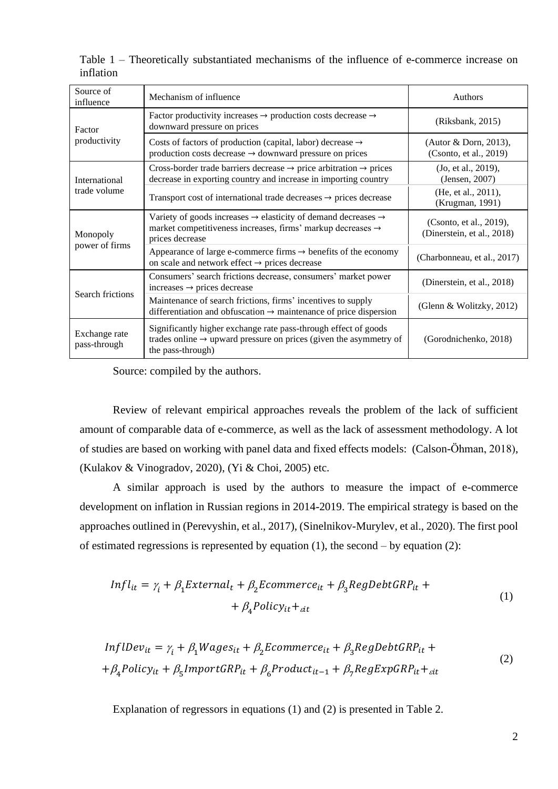| Source of<br>influence        | Mechanism of influence                                                                                                                                                              | <b>Authors</b>                                        |  |  |
|-------------------------------|-------------------------------------------------------------------------------------------------------------------------------------------------------------------------------------|-------------------------------------------------------|--|--|
| Factor<br>productivity        | Factor productivity increases $\rightarrow$ production costs decrease $\rightarrow$<br>downward pressure on prices                                                                  | (Riksbank, 2015)                                      |  |  |
|                               | Costs of factors of production (capital, labor) decrease $\rightarrow$<br>production costs decrease $\rightarrow$ downward pressure on prices                                       | (Autor & Dorn, 2013),<br>(Csonto, et al., 2019)       |  |  |
| International<br>trade volume | Cross-border trade barriers decrease $\rightarrow$ price arbitration $\rightarrow$ prices<br>decrease in exporting country and increase in importing country                        | (Jo, et al., 2019),<br>(Jensen, 2007)                 |  |  |
|                               | Transport cost of international trade decreases $\rightarrow$ prices decrease                                                                                                       | (He, et al., 2011),<br>(Krugman, 1991)                |  |  |
| Monopoly<br>power of firms    | Variety of goods increases $\rightarrow$ elasticity of demand decreases $\rightarrow$<br>market competitiveness increases, firms' markup decreases $\rightarrow$<br>prices decrease | (Csonto, et al., 2019),<br>(Dinerstein, et al., 2018) |  |  |
|                               | Appearance of large e-commerce firms $\rightarrow$ benefits of the economy<br>on scale and network effect $\rightarrow$ prices decrease                                             | (Charbonneau, et al., 2017)                           |  |  |
| Search frictions              | Consumers' search frictions decrease, consumers' market power<br>increases $\rightarrow$ prices decrease                                                                            | (Dinerstein, et al., 2018)                            |  |  |
|                               | Maintenance of search frictions, firms' incentives to supply<br>differentiation and obfuscation $\rightarrow$ maintenance of price dispersion                                       | (Glenn & Wolitzky, 2012)                              |  |  |
| Exchange rate<br>pass-through | Significantly higher exchange rate pass-through effect of goods<br>trades online $\rightarrow$ upward pressure on prices (given the asymmetry of<br>the pass-through)               | (Gorodnichenko, 2018)                                 |  |  |

Table 1 – Theoretically substantiated mechanisms of the influence of e-commerce increase on inflation

Source: compiled by the authors.

Review of relevant empirical approaches reveals the problem of the lack of sufficient amount of comparable data of e-commerce, as well as the lack of assessment methodology. A lot of studies are based on working with panel data and fixed effects models: (Calson-Öhman, 2018), (Kulakov & Vinogradov, 2020), (Yi & Choi, 2005) etc.

A similar approach is used by the authors to measure the impact of e-commerce development on inflation in Russian regions in 2014-2019. The empirical strategy is based on the approaches outlined in (Perevyshin, et al., 2017), (Sinelnikov-Murylev, et al., 2020). The first pool of estimated regressions is represented by equation  $(1)$ , the second – by equation  $(2)$ :

$$
Infl_{it} = \gamma_i + \beta_1 External_t + \beta_2 Ecommerce_{it} + \beta_3 RegDebtGRP_{it} ++ \beta_4 Policy_{it} +_{\text{cit}}
$$
 (1)

$$
InflDev_{it} = \gamma_i + \beta_1 Wages_{it} + \beta_2 Ecommerce_{it} + \beta_3 RegDebtGRP_{it} ++ \beta_4 Policy_{it} + \beta_5 ImportGRP_{it} + \beta_6 Product_{it-1} + \beta_7 RegExpGRP_{it} +_{\text{att}}
$$
\n(2)

Explanation of regressors in equations (1) and (2) is presented in Table 2.